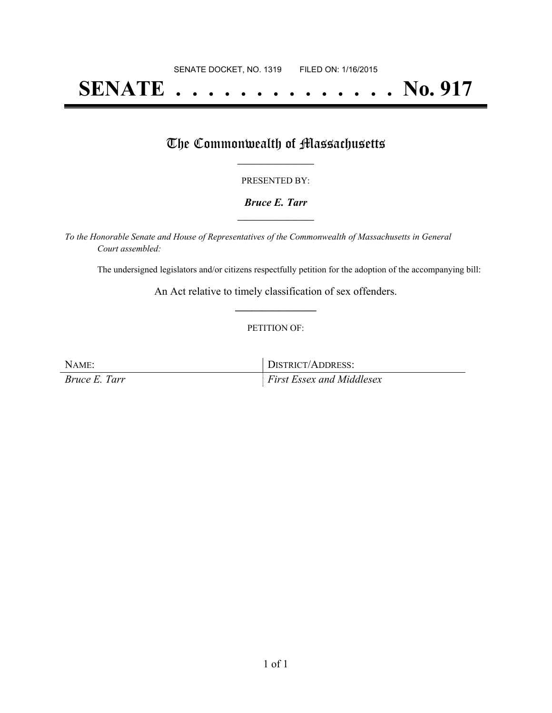# **SENATE . . . . . . . . . . . . . . No. 917**

## The Commonwealth of Massachusetts

#### PRESENTED BY:

#### *Bruce E. Tarr* **\_\_\_\_\_\_\_\_\_\_\_\_\_\_\_\_\_**

*To the Honorable Senate and House of Representatives of the Commonwealth of Massachusetts in General Court assembled:*

The undersigned legislators and/or citizens respectfully petition for the adoption of the accompanying bill:

An Act relative to timely classification of sex offenders. **\_\_\_\_\_\_\_\_\_\_\_\_\_\_\_**

#### PETITION OF:

NAME: DISTRICT/ADDRESS: *Bruce E. Tarr First Essex and Middlesex*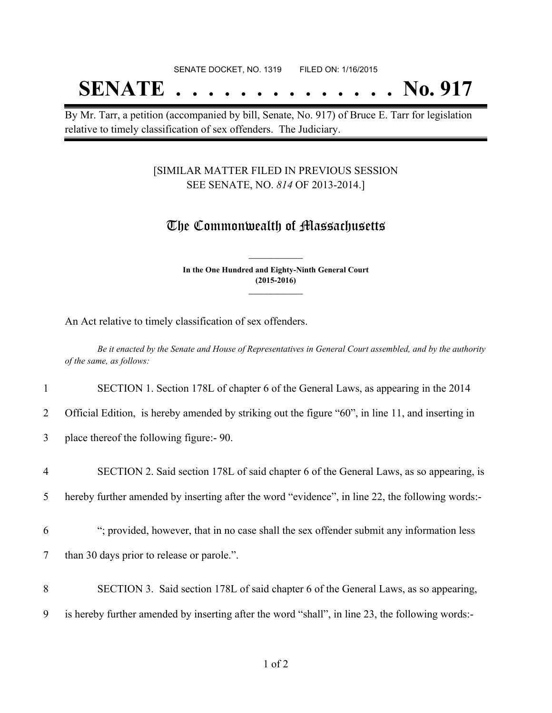## SENATE DOCKET, NO. 1319 FILED ON: 1/16/2015 **SENATE . . . . . . . . . . . . . . No. 917**

By Mr. Tarr, a petition (accompanied by bill, Senate, No. 917) of Bruce E. Tarr for legislation relative to timely classification of sex offenders. The Judiciary.

### [SIMILAR MATTER FILED IN PREVIOUS SESSION SEE SENATE, NO. *814* OF 2013-2014.]

## The Commonwealth of Massachusetts

**In the One Hundred and Eighty-Ninth General Court (2015-2016) \_\_\_\_\_\_\_\_\_\_\_\_\_\_\_**

**\_\_\_\_\_\_\_\_\_\_\_\_\_\_\_**

An Act relative to timely classification of sex offenders.

Be it enacted by the Senate and House of Representatives in General Court assembled, and by the authority *of the same, as follows:*

1 SECTION 1. Section 178L of chapter 6 of the General Laws, as appearing in the 2014

2 Official Edition, is hereby amended by striking out the figure "60", in line 11, and inserting in

3 place thereof the following figure:- 90.

4 SECTION 2. Said section 178L of said chapter 6 of the General Laws, as so appearing, is

5 hereby further amended by inserting after the word "evidence", in line 22, the following words:-

6 "; provided, however, that in no case shall the sex offender submit any information less

7 than 30 days prior to release or parole.".

8 SECTION 3. Said section 178L of said chapter 6 of the General Laws, as so appearing,

9 is hereby further amended by inserting after the word "shall", in line 23, the following words:-